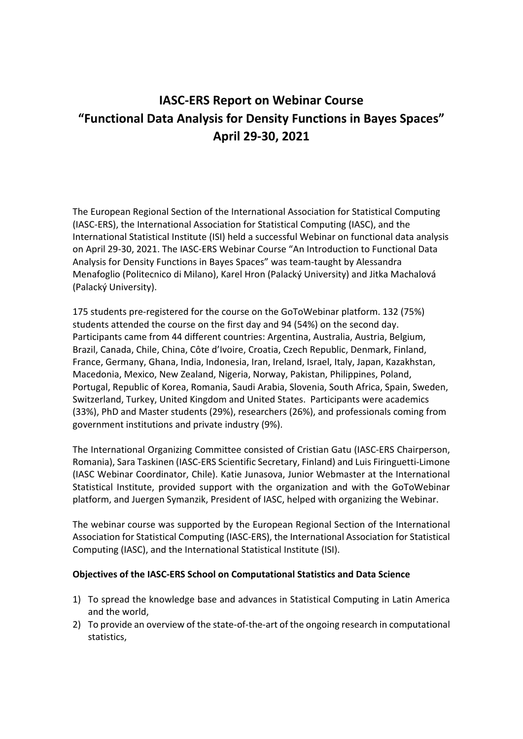# **IASC‐ERS Report on Webinar Course "Functional Data Analysis for Density Functions in Bayes Spaces" April 29‐30, 2021**

The European Regional Section of the International Association for Statistical Computing (IASC‐ERS), the International Association for Statistical Computing (IASC), and the International Statistical Institute (ISI) held a successful Webinar on functional data analysis on April 29‐30, 2021. The IASC‐ERS Webinar Course "An Introduction to Functional Data Analysis for Density Functions in Bayes Spaces" was team‐taught by Alessandra Menafoglio (Politecnico di Milano), Karel Hron (Palacký University) and Jitka Machalová (Palacký University).

175 students pre‐registered for the course on the GoToWebinar platform. 132 (75%) students attended the course on the first day and 94 (54%) on the second day. Participants came from 44 different countries: Argentina, Australia, Austria, Belgium, Brazil, Canada, Chile, China, Côte d'Ivoire, Croatia, Czech Republic, Denmark, Finland, France, Germany, Ghana, India, Indonesia, Iran, Ireland, Israel, Italy, Japan, Kazakhstan, Macedonia, Mexico, New Zealand, Nigeria, Norway, Pakistan, Philippines, Poland, Portugal, Republic of Korea, Romania, Saudi Arabia, Slovenia, South Africa, Spain, Sweden, Switzerland, Turkey, United Kingdom and United States. Participants were academics (33%), PhD and Master students (29%), researchers (26%), and professionals coming from government institutions and private industry (9%).

The International Organizing Committee consisted of Cristian Gatu (IASC‐ERS Chairperson, Romania), Sara Taskinen (IASC‐ERS Scientific Secretary, Finland) and Luis Firinguetti‐Limone (IASC Webinar Coordinator, Chile). Katie Junasova, Junior Webmaster at the International Statistical Institute, provided support with the organization and with the GoToWebinar platform, and Juergen Symanzik, President of IASC, helped with organizing the Webinar.

The webinar course was supported by the European Regional Section of the International Association for Statistical Computing (IASC‐ERS), the International Association for Statistical Computing (IASC), and the International Statistical Institute (ISI).

#### **Objectives of the IASC‐ERS School on Computational Statistics and Data Science**

- 1) To spread the knowledge base and advances in Statistical Computing in Latin America and the world,
- 2) To provide an overview of the state-of-the-art of the ongoing research in computational statistics,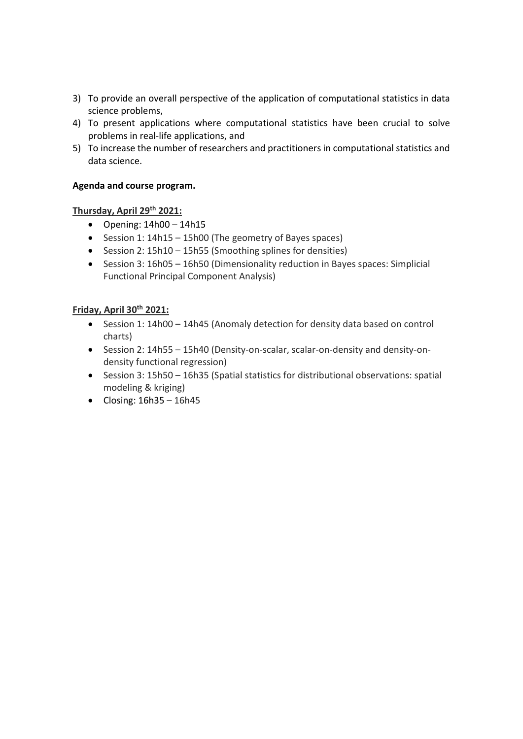- 3) To provide an overall perspective of the application of computational statistics in data science problems,
- 4) To present applications where computational statistics have been crucial to solve problems in real‐life applications, and
- 5) To increase the number of researchers and practitioners in computational statistics and data science.

#### **Agenda and course program.**

#### **Thursday, April 29th 2021:**

- $\bullet$  Opening:  $14h00 14h15$
- Session 1: 14h15 15h00 (The geometry of Bayes spaces)
- Session 2: 15h10 15h55 (Smoothing splines for densities)
- Session 3: 16h05 16h50 (Dimensionality reduction in Bayes spaces: Simplicial Functional Principal Component Analysis)

### **Friday, April 30th 2021:**

- Session 1: 14h00 14h45 (Anomaly detection for density data based on control charts)
- Session 2: 14h55 15h40 (Density-on-scalar, scalar-on-density and density-ondensity functional regression)
- Session 3: 15h50 16h35 (Spatial statistics for distributional observations: spatial modeling & kriging)
- $\bullet$  Closing: 16h35 16h45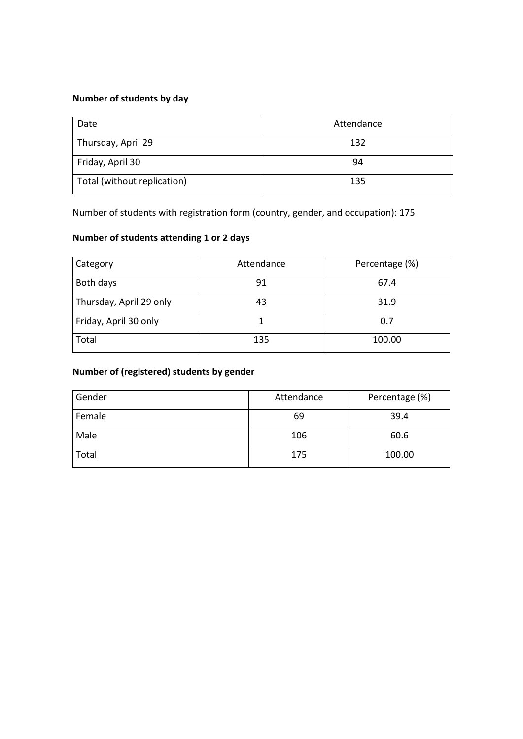## **Number of students by day**

| Date                        | Attendance |
|-----------------------------|------------|
| Thursday, April 29          | 132        |
| Friday, April 30            | 94         |
| Total (without replication) | 135        |

Number of students with registration form (country, gender, and occupation): 175

### **Number of students attending 1 or 2 days**

| Category                | Attendance | Percentage (%) |
|-------------------------|------------|----------------|
| Both days               | 91         | 67.4           |
| Thursday, April 29 only | 43         | 31.9           |
| Friday, April 30 only   |            | 0.7            |
| Total                   | 135        | 100.00         |

## **Number of (registered) students by gender**

| Gender | Attendance | Percentage (%) |
|--------|------------|----------------|
| Female | 69         | 39.4           |
| Male   | 106        | 60.6           |
| Total  | 175        | 100.00         |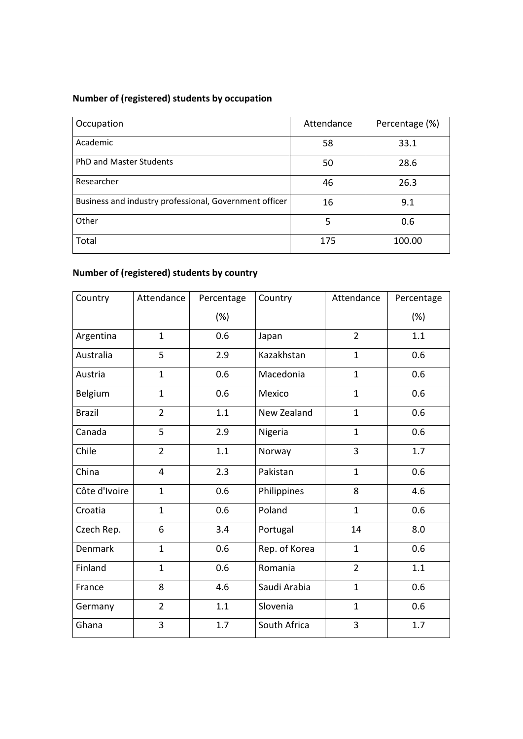## **Number of (registered) students by occupation**

| Occupation                                             | Attendance | Percentage (%) |
|--------------------------------------------------------|------------|----------------|
| Academic                                               | 58         | 33.1           |
| <b>PhD and Master Students</b>                         | 50         | 28.6           |
| Researcher                                             | 46         | 26.3           |
| Business and industry professional, Government officer | 16         | 9.1            |
| Other                                                  | 5          | 0.6            |
| Total                                                  | 175        | 100.00         |

## **Number of (registered) students by country**

| Country        | Attendance     | Percentage | Country                 | Attendance     | Percentage |  |
|----------------|----------------|------------|-------------------------|----------------|------------|--|
|                |                | (%)        |                         |                | (%)        |  |
| Argentina      | $\mathbf{1}$   | 0.6        | $\overline{2}$<br>Japan |                | 1.1        |  |
| Australia      | 5              | 2.9        | Kazakhstan              | $\mathbf{1}$   | 0.6        |  |
| Austria        | $\mathbf{1}$   | 0.6        | Macedonia               | $\mathbf{1}$   | 0.6        |  |
| Belgium        | $\mathbf{1}$   | 0.6        | Mexico                  | $\mathbf{1}$   | 0.6        |  |
| <b>Brazil</b>  | $\overline{2}$ | 1.1        | New Zealand             | $\mathbf{1}$   | 0.6        |  |
| Canada         | 5              | 2.9        | Nigeria                 | $\mathbf{1}$   | 0.6        |  |
| Chile          | $\overline{2}$ | 1.1        | 3<br>Norway             |                | 1.7        |  |
| China          | $\overline{4}$ | 2.3        | Pakistan                | $\mathbf{1}$   | 0.6        |  |
| Côte d'Ivoire  | $\mathbf{1}$   | 0.6        | Philippines             | 8              | 4.6        |  |
| Croatia        | $\mathbf{1}$   | 0.6        | Poland                  | $\mathbf{1}$   | 0.6        |  |
| Czech Rep.     | 6              | 3.4        | Portugal                | 14             | 8.0        |  |
| <b>Denmark</b> | $\mathbf{1}$   | 0.6        | Rep. of Korea           | $\mathbf{1}$   | 0.6        |  |
| Finland        | $\mathbf{1}$   | 0.6        | Romania                 | $\overline{2}$ |            |  |
| France         | 8              | 4.6        | Saudi Arabia            | $\mathbf{1}$   | 0.6        |  |
| Germany        | $\overline{2}$ | 1.1        | Slovenia                | $\mathbf{1}$   | 0.6        |  |
| Ghana          | 3              | 1.7        | South Africa            | 3              | 1.7        |  |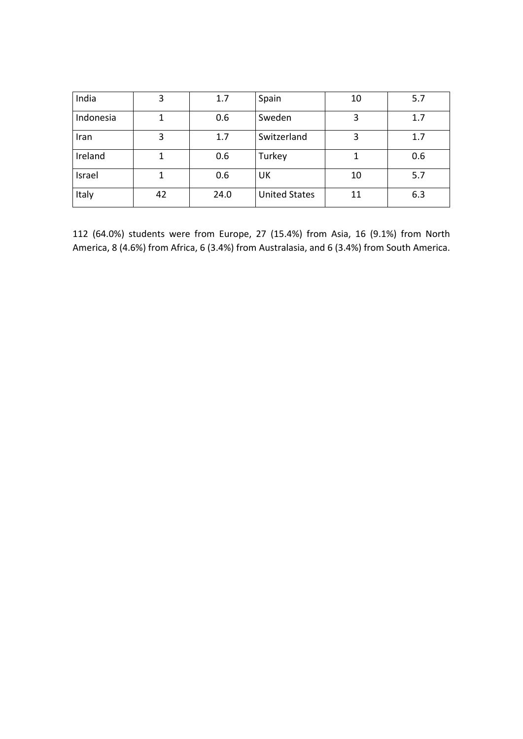| India     | 3  | 1.7  | Spain<br>10          |    | 5.7 |
|-----------|----|------|----------------------|----|-----|
| Indonesia |    | 0.6  | Sweden               | 3  | 1.7 |
| Iran      | 3  | 1.7  | Switzerland          | 3  | 1.7 |
| Ireland   |    | 0.6  | Turkey               |    | 0.6 |
| Israel    |    | 0.6  | UK                   | 10 | 5.7 |
| Italy     | 42 | 24.0 | <b>United States</b> | 11 | 6.3 |

112 (64.0%) students were from Europe, 27 (15.4%) from Asia, 16 (9.1%) from North America, 8 (4.6%) from Africa, 6 (3.4%) from Australasia, and 6 (3.4%) from South America.